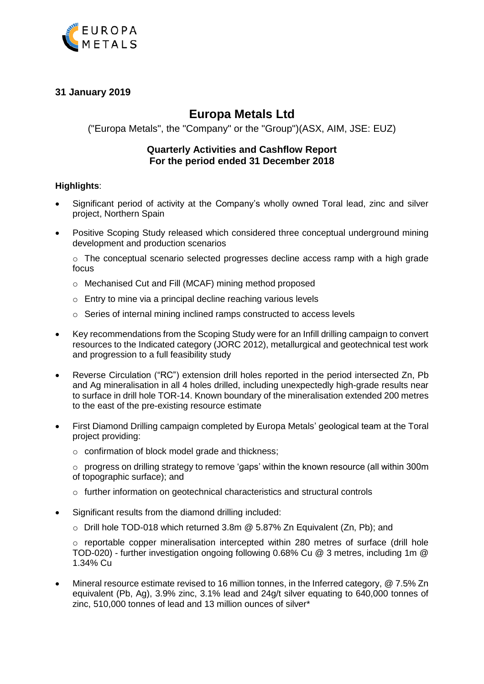

# **31 January 2019**

# **Europa Metals Ltd**

("Europa Metals", the "Company" or the "Group")(ASX, AIM, JSE: EUZ)

# **Quarterly Activities and Cashflow Report For the period ended 31 December 2018**

## **Highlights**:

- Significant period of activity at the Company's wholly owned Toral lead, zinc and silver project, Northern Spain
- Positive Scoping Study released which considered three conceptual underground mining development and production scenarios

o The conceptual scenario selected progresses decline access ramp with a high grade focus

- o Mechanised Cut and Fill (MCAF) mining method proposed
- o Entry to mine via a principal decline reaching various levels
- o Series of internal mining inclined ramps constructed to access levels
- Key recommendations from the Scoping Study were for an Infill drilling campaign to convert resources to the Indicated category (JORC 2012), metallurgical and geotechnical test work and progression to a full feasibility study
- Reverse Circulation ("RC") extension drill holes reported in the period intersected Zn, Pb and Ag mineralisation in all 4 holes drilled, including unexpectedly high-grade results near to surface in drill hole TOR-14. Known boundary of the mineralisation extended 200 metres to the east of the pre-existing resource estimate
- First Diamond Drilling campaign completed by Europa Metals' geological team at the Toral project providing:
	- o confirmation of block model grade and thickness;

 $\circ$  progress on drilling strategy to remove 'gaps' within the known resource (all within 300m) of topographic surface); and

- o further information on geotechnical characteristics and structural controls
- Significant results from the diamond drilling included:
	- o Drill hole TOD-018 which returned 3.8m @ 5.87% Zn Equivalent (Zn, Pb); and

 $\circ$  reportable copper mineralisation intercepted within 280 metres of surface (drill hole TOD-020) - further investigation ongoing following 0.68% Cu @ 3 metres, including 1m @ 1.34% Cu

 Mineral resource estimate revised to 16 million tonnes, in the Inferred category, @ 7.5% Zn equivalent (Pb, Ag), 3.9% zinc, 3.1% lead and 24g/t silver equating to 640,000 tonnes of zinc, 510,000 tonnes of lead and 13 million ounces of silver\*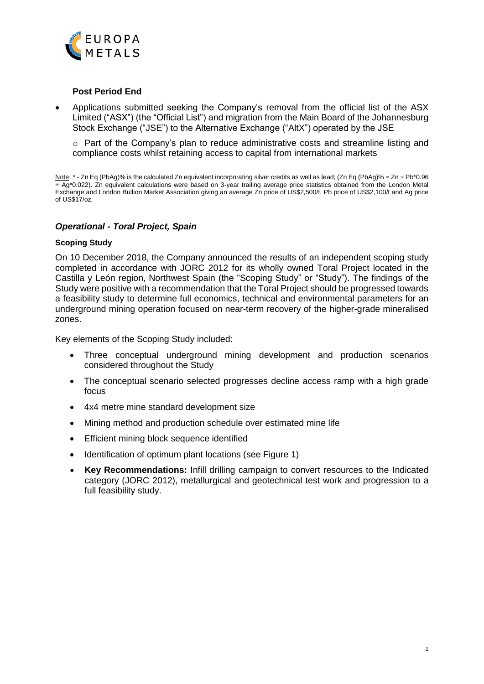

## **Post Period End**

 Applications submitted seeking the Company's removal from the official list of the ASX Limited ("ASX") (the "Official List") and migration from the Main Board of the Johannesburg Stock Exchange ("JSE") to the Alternative Exchange ("AltX") operated by the JSE

 $\circ$  Part of the Company's plan to reduce administrative costs and streamline listing and compliance costs whilst retaining access to capital from international markets

Note: \* - Zn Eq (PbAg)% is the calculated Zn equivalent incorporating silver credits as well as lead; (Zn Eq (PbAg)% = Zn + Pb\*0.96 + Ag\*0.022). Zn equivalent calculations were based on 3-year trailing average price statistics obtained from the London Metal Exchange and London Bullion Market Association giving an average Zn price of US\$2,500/t, Pb price of US\$2,100/t and Ag price of US\$17/oz.

## *Operational - Toral Project, Spain*

#### **Scoping Study**

On 10 December 2018, the Company announced the results of an independent scoping study completed in accordance with JORC 2012 for its wholly owned Toral Project located in the Castilla y León region, Northwest Spain (the "Scoping Study" or "Study"). The findings of the Study were positive with a recommendation that the Toral Project should be progressed towards a feasibility study to determine full economics, technical and environmental parameters for an underground mining operation focused on near-term recovery of the higher-grade mineralised zones.

Key elements of the Scoping Study included:

- Three conceptual underground mining development and production scenarios considered throughout the Study
- The conceptual scenario selected progresses decline access ramp with a high grade focus
- 4x4 metre mine standard development size
- Mining method and production schedule over estimated mine life
- Efficient mining block sequence identified
- Identification of optimum plant locations (see Figure 1)
- **Key Recommendations:** Infill drilling campaign to convert resources to the Indicated category (JORC 2012), metallurgical and geotechnical test work and progression to a full feasibility study.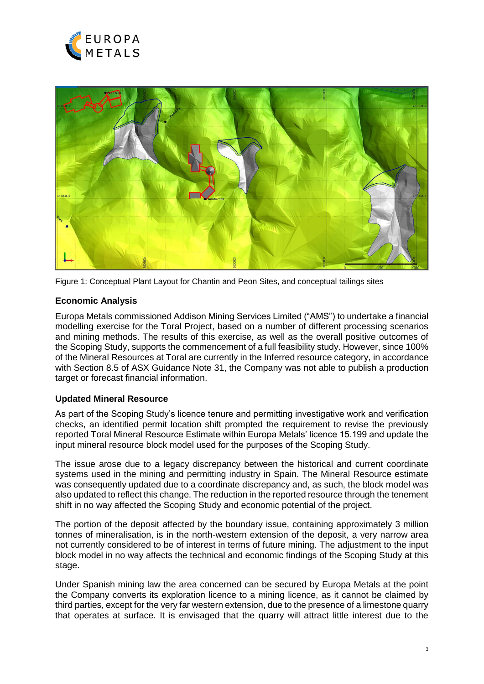



Figure 1: Conceptual Plant Layout for Chantin and Peon Sites, and conceptual tailings sites

# **Economic Analysis**

Europa Metals commissioned Addison Mining Services Limited ("AMS") to undertake a financial modelling exercise for the Toral Project, based on a number of different processing scenarios and mining methods. The results of this exercise, as well as the overall positive outcomes of the Scoping Study, supports the commencement of a full feasibility study. However, since 100% of the Mineral Resources at Toral are currently in the Inferred resource category, in accordance with Section 8.5 of ASX Guidance Note 31, the Company was not able to publish a production target or forecast financial information.

## **Updated Mineral Resource**

As part of the Scoping Study's licence tenure and permitting investigative work and verification checks, an identified permit location shift prompted the requirement to revise the previously reported Toral Mineral Resource Estimate within Europa Metals' licence 15.199 and update the input mineral resource block model used for the purposes of the Scoping Study.

The issue arose due to a legacy discrepancy between the historical and current coordinate systems used in the mining and permitting industry in Spain. The Mineral Resource estimate was consequently updated due to a coordinate discrepancy and, as such, the block model was also updated to reflect this change. The reduction in the reported resource through the tenement shift in no way affected the Scoping Study and economic potential of the project.

The portion of the deposit affected by the boundary issue, containing approximately 3 million tonnes of mineralisation, is in the north-western extension of the deposit, a very narrow area not currently considered to be of interest in terms of future mining. The adjustment to the input block model in no way affects the technical and economic findings of the Scoping Study at this stage.

Under Spanish mining law the area concerned can be secured by Europa Metals at the point the Company converts its exploration licence to a mining licence, as it cannot be claimed by third parties, except for the very far western extension, due to the presence of a limestone quarry that operates at surface. It is envisaged that the quarry will attract little interest due to the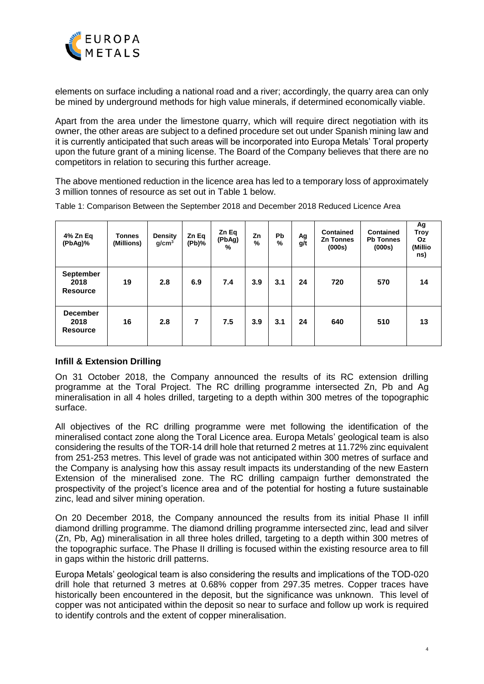

elements on surface including a national road and a river; accordingly, the quarry area can only be mined by underground methods for high value minerals, if determined economically viable.

Apart from the area under the limestone quarry, which will require direct negotiation with its owner, the other areas are subject to a defined procedure set out under Spanish mining law and it is currently anticipated that such areas will be incorporated into Europa Metals' Toral property upon the future grant of a mining license. The Board of the Company believes that there are no competitors in relation to securing this further acreage.

The above mentioned reduction in the licence area has led to a temporary loss of approximately 3 million tonnes of resource as set out in [Table 1](#page-3-0) below.

| 4% Zn Eq<br>(PbAg)%                        | <b>Tonnes</b><br>(Millions) | <b>Density</b><br>$g/cm^3$ | Zn Eq<br>(Pb)% | Zn Eq<br>(PbAg)<br>% | Zn<br>$\%$ | <b>Pb</b><br>% | Ag<br>g/t | Contained<br><b>Zn Tonnes</b><br>(000s) | <b>Contained</b><br><b>Pb Tonnes</b><br>(000s) | Ag<br>Troy<br>Oz<br>(Millio<br>ns) |
|--------------------------------------------|-----------------------------|----------------------------|----------------|----------------------|------------|----------------|-----------|-----------------------------------------|------------------------------------------------|------------------------------------|
| September<br>2018<br><b>Resource</b>       | 19                          | 2.8                        | 6.9            | 7.4                  | 3.9        | 3.1            | 24        | 720                                     | 570                                            | 14                                 |
| <b>December</b><br>2018<br><b>Resource</b> | 16                          | 2.8                        | 7              | 7.5                  | 3.9        | 3.1            | 24        | 640                                     | 510                                            | 13                                 |

<span id="page-3-0"></span>Table 1: Comparison Between the September 2018 and December 2018 Reduced Licence Area

# **Infill & Extension Drilling**

On 31 October 2018, the Company announced the results of its RC extension drilling programme at the Toral Project. The RC drilling programme intersected Zn, Pb and Ag mineralisation in all 4 holes drilled, targeting to a depth within 300 metres of the topographic surface.

All objectives of the RC drilling programme were met following the identification of the mineralised contact zone along the Toral Licence area. Europa Metals' geological team is also considering the results of the TOR-14 drill hole that returned 2 metres at 11.72% zinc equivalent from 251-253 metres. This level of grade was not anticipated within 300 metres of surface and the Company is analysing how this assay result impacts its understanding of the new Eastern Extension of the mineralised zone. The RC drilling campaign further demonstrated the prospectivity of the project's licence area and of the potential for hosting a future sustainable zinc, lead and silver mining operation.

On 20 December 2018, the Company announced the results from its initial Phase II infill diamond drilling programme. The diamond drilling programme intersected zinc, lead and silver (Zn, Pb, Ag) mineralisation in all three holes drilled, targeting to a depth within 300 metres of the topographic surface. The Phase II drilling is focused within the existing resource area to fill in gaps within the historic drill patterns.

Europa Metals' geological team is also considering the results and implications of the TOD-020 drill hole that returned 3 metres at 0.68% copper from 297.35 metres. Copper traces have historically been encountered in the deposit, but the significance was unknown. This level of copper was not anticipated within the deposit so near to surface and follow up work is required to identify controls and the extent of copper mineralisation.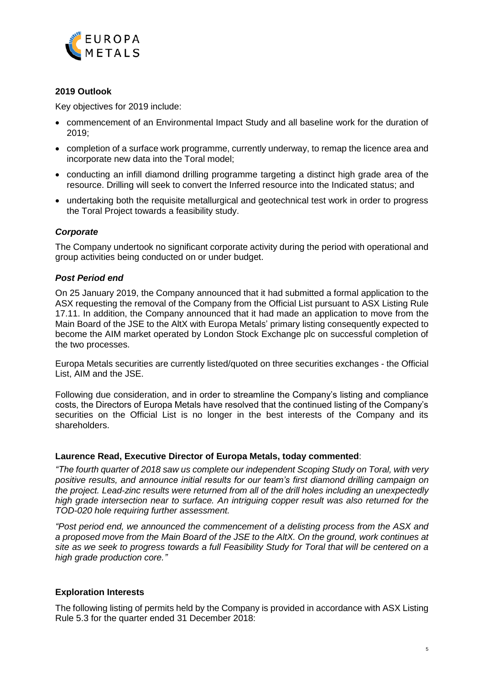

## **2019 Outlook**

Key objectives for 2019 include:

- commencement of an Environmental Impact Study and all baseline work for the duration of 2019;
- completion of a surface work programme, currently underway, to remap the licence area and incorporate new data into the Toral model;
- conducting an infill diamond drilling programme targeting a distinct high grade area of the resource. Drilling will seek to convert the Inferred resource into the Indicated status; and
- undertaking both the requisite metallurgical and geotechnical test work in order to progress the Toral Project towards a feasibility study.

## *Corporate*

The Company undertook no significant corporate activity during the period with operational and group activities being conducted on or under budget.

## *Post Period end*

On 25 January 2019, the Company announced that it had submitted a formal application to the ASX requesting the removal of the Company from the Official List pursuant to ASX Listing Rule 17.11. In addition, the Company announced that it had made an application to move from the Main Board of the JSE to the AltX with Europa Metals' primary listing consequently expected to become the AIM market operated by London Stock Exchange plc on successful completion of the two processes.

Europa Metals securities are currently listed/quoted on three securities exchanges - the Official List, AIM and the JSE.

Following due consideration, and in order to streamline the Company's listing and compliance costs, the Directors of Europa Metals have resolved that the continued listing of the Company's securities on the Official List is no longer in the best interests of the Company and its shareholders.

#### **Laurence Read, Executive Director of Europa Metals, today commented**:

*"The fourth quarter of 2018 saw us complete our independent Scoping Study on Toral, with very positive results, and announce initial results for our team's first diamond drilling campaign on the project. Lead-zinc results were returned from all of the drill holes including an unexpectedly high grade intersection near to surface. An intriguing copper result was also returned for the TOD-020 hole requiring further assessment.* 

*"Post period end, we announced the commencement of a delisting process from the ASX and a proposed move from the Main Board of the JSE to the AltX. On the ground, work continues at site as we seek to progress towards a full Feasibility Study for Toral that will be centered on a high grade production core."*

#### **Exploration Interests**

The following listing of permits held by the Company is provided in accordance with ASX Listing Rule 5.3 for the quarter ended 31 December 2018: